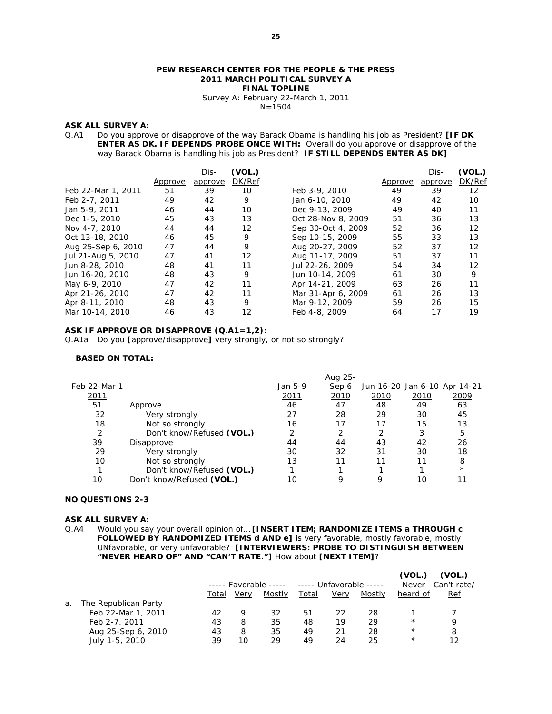#### **PEW RESEARCH CENTER FOR THE PEOPLE & THE PRESS 2011 MARCH POLITICAL SURVEY A FINAL TOPLINE**

Survey A: February 22-March 1, 2011  $N=1504$ 

#### **ASK ALL SURVEY A:**

Q.A1 Do you approve or disapprove of the way Barack Obama is handling his job as President? **[IF DK ENTER AS DK. IF DEPENDS PROBE ONCE WITH:** Overall do you approve or disapprove of the way Barack Obama is handling his job as President? **IF STILL DEPENDS ENTER AS DK]** 

|                    |         | Dis-    | (VOL.) |                    |         | Dis-    | (VOL.) |
|--------------------|---------|---------|--------|--------------------|---------|---------|--------|
|                    | Approve | approve | DK/Ref |                    | Approve | approve | DK/Ref |
| Feb 22-Mar 1, 2011 | 51      | 39      | 10     | Feb 3-9, 2010      | 49      | 39      | 12     |
| Feb 2-7, 2011      | 49      | 42      | 9      | Jan 6-10, 2010     | 49      | 42      | 10     |
| Jan 5-9, 2011      | 46      | 44      | 10     | Dec 9-13, 2009     | 49      | 40      | 11     |
| Dec 1-5, 2010      | 45      | 43      | 13     | Oct 28-Nov 8, 2009 | 51      | 36      | 13     |
| Nov 4-7, 2010      | 44      | 44      | 12     | Sep 30-Oct 4, 2009 | 52      | 36      | 12     |
| Oct 13-18, 2010    | 46      | 45      | 9      | Sep 10-15, 2009    | 55      | 33      | 13     |
| Aug 25-Sep 6, 2010 | 47      | 44      | 9      | Aug 20-27, 2009    | 52      | 37      | 12     |
| Jul 21-Aug 5, 2010 | 47      | 41      | 12     | Aug 11-17, 2009    | 51      | 37      | 11     |
| Jun 8-28, 2010     | 48      | 41      | 11     | Jul 22-26, 2009    | 54      | 34      | 12     |
| Jun 16-20, 2010    | 48      | 43      | 9      | Jun 10-14, 2009    | 61      | 30      | 9      |
| May 6-9, 2010      | 47      | 42      | 11     | Apr 14-21, 2009    | 63      | 26      | 11     |
| Apr 21-26, 2010    | 47      | 42      | 11     | Mar 31-Apr 6, 2009 | 61      | 26      | 13     |
| Apr 8-11, 2010     | 48      | 43      | 9      | Mar 9-12, 2009     | 59      | 26      | 15     |
| Mar 10-14, 2010    | 46      | 43      | 12     | Feb 4-8, 2009      | 64      | 17      | 19     |

#### **ASK IF APPROVE OR DISAPPROVE (Q.A1=1,2):**

Q.A1a Do you **[**approve/disapprove**]** very strongly, or not so strongly?

#### **BASED ON TOTAL:**

|              |                           |         | Aug 25- |                              |      |         |
|--------------|---------------------------|---------|---------|------------------------------|------|---------|
| Feb 22-Mar 1 |                           | Jan 5-9 | Sep 6   | Jun 16-20 Jan 6-10 Apr 14-21 |      |         |
| <u> 2011</u> |                           | 2011    | 2010    | 2010                         | 2010 | 2009    |
| 51           | Approve                   | 46      | 47      | 48                           | 49   | 63      |
| 32           | Very strongly             | 27      | 28      | 29                           | 30   | 45      |
| 18           | Not so strongly           | 16      | 17      | 17                           | 15   | 13      |
| 2            | Don't know/Refused (VOL.) | 2       |         | 2                            | 3    | 5       |
| 39           | Disapprove                | 44      | 44      | 43                           | 42   | 26      |
| 29           | Very strongly             | 30      | 32      | 31                           | 30   | 18      |
| 10           | Not so strongly           | 13      |         | 11                           | 11   | 8       |
|              | Don't know/Refused (VOL.) |         |         |                              |      | $\star$ |
| 10           | Don't know/Refused (VOL.) | 10      | 9       | 9                            | 10   |         |

#### **NO QUESTIONS 2-3**

#### **ASK ALL SURVEY A:**

Q.A4 Would you say your overall opinion of… **[INSERT ITEM; RANDOMIZE ITEMS a THROUGH c FOLLOWED BY RANDOMIZED ITEMS d AND e]** is very favorable, mostly favorable, mostly UNfavorable, or very unfavorable? **[INTERVIEWERS: PROBE TO DISTINGUISH BETWEEN "NEVER HEARD OF" AND "CAN'T RATE."]** How about **[NEXT ITEM]**?

|    |                      |       |      |        |              | ----- Favorable ----- ----- Unfavorable ----- |        |            | (VOL.)<br>Can't rate/ |
|----|----------------------|-------|------|--------|--------------|-----------------------------------------------|--------|------------|-----------------------|
|    |                      | Total | Very | Mostly | <u>Total</u> | Very                                          | Mostly | heard of   | <u>Ref</u>            |
| a. | The Republican Party |       |      |        |              |                                               |        |            |                       |
|    | Feb 22-Mar 1, 2011   | 42    | 9    | 32     | 51           | 22                                            | 28     |            |                       |
|    | Feb 2-7, 2011        | 43    | 8    | 35     | 48           | 19                                            | 29     | $^{\star}$ | Q                     |
|    | Aug 25-Sep 6, 2010   | 43    | 8    | 35     | 49           | 21                                            | 28     | $^\star$   | 8                     |
|    | July 1-5, 2010       | 39    | 10   | 29     | 49           | 24                                            | 25     | $^{\star}$ | 12                    |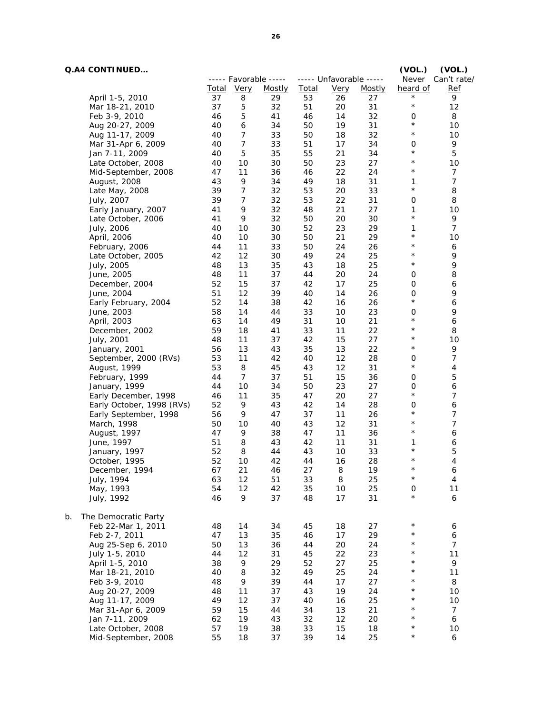|    | <b>Q.A4 CONTINUED</b>     |              |                |                       |              |                         |               | (VOL.)              | (VOL.)           |
|----|---------------------------|--------------|----------------|-----------------------|--------------|-------------------------|---------------|---------------------|------------------|
|    |                           |              |                | ----- Favorable ----- |              | ----- Unfavorable ----- |               | Never               | Can't rate/      |
|    |                           | <u>Total</u> | <b>Very</b>    | Mostly                | <b>Total</b> | <b>Very</b>             | <u>Mostly</u> | heard of            | <b>Ref</b>       |
|    | April 1-5, 2010           | 37           | 8              | 29                    | 53           | 26                      | 27            | $\star$             | 9                |
|    | Mar 18-21, 2010           | 37           | 5              | 32                    | 51           | 20                      | 31            | $\star$             | 12               |
|    | Feb 3-9, 2010             | 46           | 5              | 41                    | 46           | 14                      | 32            | 0                   | 8                |
|    | Aug 20-27, 2009           | 40           | 6              | 34                    | 50           | 19                      | 31            | $\star$             | 10               |
|    | Aug 11-17, 2009           | 40           | $\overline{7}$ | 33                    | 50           | 18                      | 32            | $\star$             | 10               |
|    | Mar 31-Apr 6, 2009        | 40           | 7              | 33                    | 51           | 17                      | 34            | 0                   | 9                |
|    | Jan 7-11, 2009            | 40           | 5              | 35                    | 55           | 21                      | 34            | $\star$             | 5                |
|    | Late October, 2008        | 40           | 10             | 30                    | 50           | 23                      | 27            | $\star$             | 10               |
|    | Mid-September, 2008       | 47           | 11             | 36                    | 46           | 22                      | 24            | $\star$             | $\overline{7}$   |
|    | August, 2008              | 43           | 9              | 34                    | 49           | 18                      | 31            | 1                   | $\overline{7}$   |
|    | Late May, 2008            | 39           | 7              | 32                    | 53           | 20                      | 33            | $\star$             | 8                |
|    | July, 2007                | 39           | $\overline{7}$ | 32                    | 53           | 22                      | 31            | $\mathbf 0$         | 8                |
|    | Early January, 2007       | 41           | 9              | 32                    | 48           | 21                      | 27            | 1                   | 10               |
|    | Late October, 2006        | 41           | 9              | 32                    | 50           | 20                      | 30            | $^\star$            | 9                |
|    | July, 2006                | 40           | 10             | 30                    | 52           | 23                      | 29            | 1                   | $\overline{7}$   |
|    | April, 2006               | 40           | 10             | 30                    | 50           | 21                      | 29            | $^\star$            | 10               |
|    | February, 2006            | 44           | 11             | 33                    | 50           | 24                      | 26            | $^\star$            | 6                |
|    | Late October, 2005        | 42           | 12             | 30                    | 49           | 24                      | 25            | $\star$             | 9                |
|    | July, 2005                | 48           | 13             | 35                    | 43           | 18                      | 25            | $\star$             | 9                |
|    | June, 2005                | 48           | 11             | 37                    | 44           | 20                      | 24            | 0                   | 8                |
|    | December, 2004            | 52           | 15             | 37                    | 42           | 17                      | 25            | 0                   | 6                |
|    | June, 2004                | 51           | 12             | 39                    | 40           | 14                      | 26            | $\mathbf 0$         | 9                |
|    | Early February, 2004      | 52           | 14             | 38                    | 42           | 16                      | 26            | $\star$             | 6                |
|    | June, 2003                | 58           | 14             | 44                    | 33           | 10                      | 23            | 0                   | 9                |
|    | April, 2003               | 63           | 14             | 49                    | 31           | 10                      | 21            | $\star$             | 6                |
|    | December, 2002            | 59           | 18             | 41                    | 33           | 11                      | 22            | $\star$             | 8                |
|    | July, 2001                | 48           | 11             | 37                    | 42           | 15                      | 27            | $\star$             | 10               |
|    | January, 2001             | 56           | 13             | 43                    | 35           | 13                      | 22            | $\star$             | 9                |
|    | September, 2000 (RVs)     | 53           | 11             | 42                    | 40           | 12                      | 28            | $\mathbf 0$         | $\boldsymbol{7}$ |
|    | August, 1999              | 53           | 8              | 45                    | 43           | 12                      | 31            | $^\star$            | 4                |
|    | February, 1999            | 44           | 7              | 37                    | 51           | 15                      | 36            | 0                   | 5                |
|    | January, 1999             | 44           | 10             | 34                    | 50           | 23                      | 27            | 0                   | 6                |
|    | Early December, 1998      | 46           | 11             | 35                    | 47           | 20                      | 27            | $\star$             | 7                |
|    | Early October, 1998 (RVs) | 52           | 9              | 43                    | 42           | 14                      | 28            | 0                   | 6                |
|    | Early September, 1998     | 56           | 9              | 47                    | 37           | 11                      | 26            | $\star$             | 7                |
|    | March, 1998               | 50           | 10             | 40                    | 43           | 12                      | 31            | $\star$             | 7                |
|    | August, 1997              | 47           | 9              | 38                    | 47           | 11                      | 36            | $^\star$            | 6                |
|    | June, 1997                | 51           | 8              | 43                    | 42           | 11                      | 31            | 1                   | 6                |
|    | January, 1997             | 52           | 8              | 44                    | 43           | 10                      | 33            | $^\star$            | 5                |
|    | October, 1995             | 52           | 10             | 42                    | 44           | 16                      | 28            | $^\star$            | 4                |
|    | December, 1994            | 67           | 21             | 46                    | 27           | 8                       | 19            | $^{\star}$          | 6                |
|    | July, 1994                | 63           | 12             | 51                    | 33           | 8                       | 25            | $\star$             | 4                |
|    | May, 1993                 | 54           | 12             | 42                    | 35           | 10                      | 25            | 0                   | 11               |
|    | July, 1992                | 46           | 9              | 37                    | 48           | $17$                    | 31            | $\star$             | 6                |
|    |                           |              |                |                       |              |                         |               |                     |                  |
| b. | The Democratic Party      |              |                |                       |              |                         |               |                     |                  |
|    | Feb 22-Mar 1, 2011        | 48           | 14             | 34                    | 45           | 18                      | 27            | $\star$<br>$\star$  | 6                |
|    | Feb 2-7, 2011             | 47           | 13             | 35                    | 46           | $17$                    | 29            |                     | 6                |
|    | Aug 25-Sep 6, 2010        | 50           | 13             | 36                    | 44           | 20                      | 24            | $^\star$<br>$\star$ | $\overline{7}$   |
|    | July 1-5, 2010            | 44           | 12             | 31                    | 45           | 22                      | 23            |                     | 11               |
|    | April 1-5, 2010           | 38           | 9              | 29                    | 52           | 27                      | 25            | $\star$<br>$\star$  | 9                |
|    | Mar 18-21, 2010           | 40           | 8              | 32                    | 49           | 25                      | 24            | $^{\star}$          | 11               |
|    | Feb 3-9, 2010             | 48           | 9              | 39                    | 44           | 17                      | 27            | $\star$             | 8                |
|    | Aug 20-27, 2009           | 48           | $11$           | 37                    | 43           | 19                      | 24            |                     | 10               |
|    | Aug 11-17, 2009           | 49           | 12             | 37                    | 40           | 16                      | 25            | $^\star$            | 10               |
|    | Mar 31-Apr 6, 2009        | 59           | 15             | 44                    | 34           | 13                      | 21            | $^\star$            | $\overline{7}$   |
|    | Jan 7-11, 2009            | 62           | 19             | 43                    | 32           | 12                      | 20            | $^\star$            | 6                |
|    | Late October, 2008        | 57           | 19             | 38                    | 33           | 15                      | 18            | $^\star$            | 10               |
|    | Mid-September, 2008       | 55           | 18             | 37                    | 39           | 14                      | 25            | $^\star$            | 6                |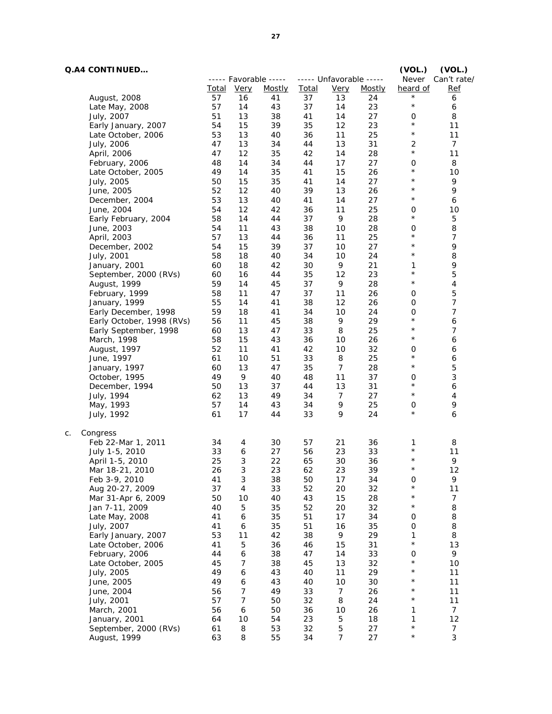$c.$ 

| <b>Q.A4 CONTINUED</b>     |              |                            |                       |              |                         |               | (VOL.)       | (VOL.)           |
|---------------------------|--------------|----------------------------|-----------------------|--------------|-------------------------|---------------|--------------|------------------|
|                           |              |                            | ----- Favorable ----- |              | ----- Unfavorable ----- |               | Never        | Can't rate/      |
|                           | <u>Total</u> | <b>Very</b>                | <u>Mostly</u>         | <b>Total</b> | <b>Very</b>             | <b>Mostly</b> | heard of     | <u>Ref</u>       |
| August, 2008              | 57           | 16                         | 41                    | 37           | 13                      | 24            | $^\star$     | 6                |
| Late May, 2008            | 57           | 14                         | 43                    | 37           | 14                      | 23            | $\star$      | 6                |
| July, 2007                | 51           | 13                         | 38                    | 41           | 14                      | 27            | 0            | 8                |
| Early January, 2007       | 54           | 15                         | 39                    | 35           | 12                      | 23            | $\star$      | 11               |
| Late October, 2006        | 53           | 13                         | 40                    | 36           | 11                      | 25            | $\star$      | 11               |
| July, 2006                | 47           | 13                         | 34                    | 44           | 13                      | 31            | 2            | $\overline{7}$   |
| April, 2006               | 47           | 12                         | 35                    | 42           | 14                      | 28            | $\star$      | 11               |
| February, 2006            | 48           | 14                         | 34                    | 44           | 17                      | 27            | 0            | 8                |
| Late October, 2005        | 49           | 14                         | 35                    | 41           | 15                      | 26            | $\star$      | 10               |
| July, 2005                | 50           | 15                         | 35                    | 41           | 14                      | 27            | $\star$      | 9                |
| June, 2005                | 52           | 12                         | 40                    | 39           | 13                      | 26            | $\star$      | 9                |
| December, 2004            | 53           | 13                         | 40                    | 41           | 14                      | 27            | $\star$      | 6                |
| June, 2004                | 54           | 12                         | 42                    | 36           | 11                      | 25            | 0            | 10               |
| Early February, 2004      | 58           | 14                         | 44                    | 37           | 9                       | 28            | $\star$      | 5                |
| June, 2003                | 54           | 11                         | 43                    | 38           | 10                      | 28            | 0            | 8                |
| April, 2003               | 57           | 13                         | 44                    | 36           | 11                      | 25            | $\star$      | $\overline{7}$   |
| December, 2002            | 54           | 15                         | 39                    | 37           | 10                      | 27            | $\star$      | 9                |
| July, 2001                | 58           | 18                         | 40                    | 34           | 10                      | 24            | $\star$      | 8                |
| January, 2001             | 60           | 18                         | 42                    | 30           | 9                       | 21            | 1            | 9                |
| September, 2000 (RVs)     | 60           | 16                         | 44                    | 35           | 12                      | 23            | $\star$      | 5                |
| August, 1999              | 59           | 14                         | 45                    | 37           | 9                       | 28            | $\star$      | 4                |
| February, 1999            | 58           | 11                         | 47                    | 37           | 11                      | 26            | 0            | 5                |
| January, 1999             | 55           | 14                         | 41                    | 38           | 12                      | 26            | $\mathbf 0$  | 7                |
| Early December, 1998      | 59           | 18                         | 41                    | 34           | 10                      | 24            | 0            | 7                |
| Early October, 1998 (RVs) | 56           | 11                         | 45                    | 38           | 9                       | 29            | $\star$      | 6                |
| Early September, 1998     | 60           | 13                         | 47                    | 33           | 8                       | 25            | $\star$      | 7                |
| March, 1998               | 58           | 15                         | 43                    | 36           | 10                      | 26            | $\star$      | 6                |
| August, 1997              | 52           | 11                         | 41                    | 42           | 10                      | 32            | 0            | 6                |
| June, 1997                | 61           | 10                         | 51                    | 33           | 8                       | 25            | $\star$      | 6                |
| January, 1997             | 60           | 13                         | 47                    | 35           | 7                       | 28            | $\star$      | 5                |
| October, 1995             | 49           | 9                          | 40                    | 48           | 11                      | 37            | 0            | 3                |
| December, 1994            | 50           | 13                         | 37                    | 44           | 13                      | 31            | $\star$      | 6                |
| July, 1994                | 62           | 13                         | 49                    | 34           | 7                       | 27            | $\star$      | 4                |
| May, 1993                 | 57           | 14                         | 43                    | 34           | 9                       | $25\,$        | 0            | 9                |
| July, 1992                | 61           | 17                         | 44                    | 33           | 9                       | 24            | $\star$      | 6                |
| Congress<br>С.            |              |                            |                       |              |                         |               |              |                  |
| Feb 22-Mar 1, 2011        | 34           | 4                          | 30                    | 57           | 21                      | 36            | 1            | 8                |
| July 1-5, 2010            | 33           | 6                          | 27                    | 56           | 23                      | 33            | $^\star$     | 11               |
| April 1-5, 2010           | 25           | 3                          | 22                    | 65           | 30                      | 36            | $\star$      | 9                |
| Mar 18-21, 2010           | 26           | 3                          | 23                    | 62           | 23                      | 39            | $^\star$     | 12               |
| Feb 3-9, 2010             | 41           | $\ensuremath{\mathcal{S}}$ | 38                    | 50           | $17$                    | 34            | 0            | 9                |
| Aug 20-27, 2009           | 37           | $\overline{4}$             | 33                    | 52           | 20                      | 32            | $\star$      | 11               |
| Mar 31-Apr 6, 2009        | 50           | 10                         | 40                    | 43           | 15                      | 28            | $\star$      | $\boldsymbol{7}$ |
| Jan 7-11, 2009            | 40           | 5                          | 35                    | 52           | 20                      | 32            | $\star$      | 8                |
| Late May, 2008            | 41           | 6                          | 35                    | 51           | 17                      | 34            | 0            | 8                |
| July, 2007                | 41           | 6                          | 35                    | 51           | 16                      | 35            | 0            | 8                |
| Early January, 2007       | 53           | 11                         | 42                    | 38           | 9                       | 29            | $\mathbf{1}$ | 8                |
| Late October, 2006        | 41           | 5                          | 36                    | 46           | 15                      | 31            | $\star$      | 13               |
| February, 2006            | 44           | 6                          | 38                    | 47           | 14                      | 33            | 0            | 9                |
| Late October, 2005        | 45           | $\overline{7}$             | 38                    | 45           | 13                      | 32            | $\star$      | 10               |
| July, 2005                | 49           | 6                          | 43                    | 40           | 11                      | 29            | $\star$      | 11               |
| June, 2005                | 49           | 6                          | 43                    | 40           | 10                      | 30            | $\star$      | 11               |
| June, 2004                | 56           | $\boldsymbol{7}$           | 49                    | 33           | $\boldsymbol{7}$        | 26            | $\star$      | 11               |
| July, 2001                | 57           | $\overline{7}$             | 50                    | 32           | 8                       | 24            | $\star$      | 11               |
| March, 2001               | 56           | 6                          | 50                    | 36           | 10                      | 26            | 1            | $\overline{7}$   |
| January, 2001             | 64           | 10                         | 54                    | 23           | 5                       | 18            | 1            | 12               |
| September, 2000 (RVs)     | 61           | 8                          | 53                    | 32           | 5                       | 27            | $\star$      | 7                |
| August, 1999              | 63           | $\mathcal S$               | 55                    | 34           | $\overline{7}$          | 27            | $\star$      | 3                |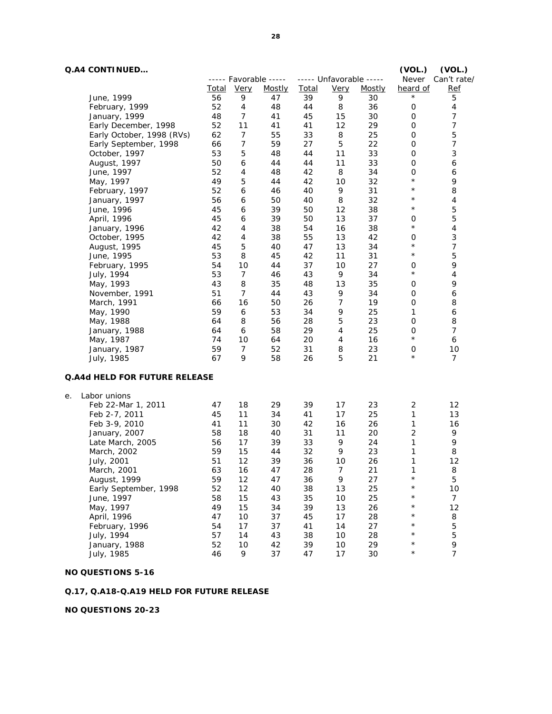## **Q.A4 CONTINUED… (VOL.) (VOL.)**

|    |                                      |          |                  | ----- Favorable ----- |              | ----- Unfavorable -----       |               |                | Never Can't rate/         |
|----|--------------------------------------|----------|------------------|-----------------------|--------------|-------------------------------|---------------|----------------|---------------------------|
|    |                                      | Total    | <b>Very</b>      | Mostly                | <b>Total</b> | Very                          | <b>Mostly</b> | heard of       | Ref                       |
|    | June, 1999                           | 56       | 9                | 47                    | 39           | 9                             | 30            | $^\star$       | 5                         |
|    | February, 1999                       | 52       | $\overline{4}$   | 48                    | 44           | 8                             | 36            | 0              | $\overline{4}$            |
|    | January, 1999                        | 48       | $\overline{7}$   | 41                    | 45           | 15                            | 30            | 0              | $\boldsymbol{7}$          |
|    | Early December, 1998                 | 52       | 11               | 41                    | 41           | 12                            | 29            | 0              | $\overline{7}$            |
|    | Early October, 1998 (RVs)            | 62       | 7                | 55                    | 33           | 8                             | 25            | 0              | 5                         |
|    | Early September, 1998                | 66       | $\boldsymbol{7}$ | 59                    | 27           | $\sqrt{5}$                    | 22            | 0              | $\boldsymbol{7}$          |
|    | October, 1997                        | 53       | 5                | 48                    | 44           | 11                            | 33            | 0              | $\ensuremath{\mathsf{3}}$ |
|    | August, 1997                         | 50       | 6                | 44                    | 44           | 11                            | 33            | 0              | 6                         |
|    | June, 1997                           | 52       | $\overline{4}$   | 48                    | 42           | 8                             | 34            | 0              | 6                         |
|    | May, 1997                            | 49       | $\sqrt{5}$       | 44                    | 42           | 10                            | 32            | $\star$        | 9                         |
|    | February, 1997                       | 52       | 6                | 46                    | 40           | 9                             | 31            | $\star$        | 8                         |
|    | January, 1997                        | 56       | 6                | 50                    | 40           | 8                             | 32            | $\star$        | 4                         |
|    | June, 1996                           | 45       | 6                | 39                    | 50           | 12                            | 38            | $\star$        | 5                         |
|    | April, 1996                          | 45       | 6                | 39                    | 50           | 13                            | 37            | $\mathbf 0$    | 5                         |
|    | January, 1996                        | 42       | 4                | 38                    | 54           | 16                            | 38            | $\star$        | 4                         |
|    | October, 1995                        | 42       | 4                | 38                    | 55           | 13                            | 42            | $\mathbf 0$    | $\ensuremath{\mathsf{3}}$ |
|    | August, 1995                         | 45       | $\sqrt{5}$       | 40                    | 47           | 13                            | 34            | $\star$        | 7                         |
|    | June, 1995                           | 53       | 8                | 45                    | 42           | 11                            | 31            | $\star$        | 5                         |
|    | February, 1995                       | 54       | 10               | 44                    | 37           | 10                            | 27            | 0              | 9                         |
|    | July, 1994                           | 53       | $\overline{7}$   | 46                    | 43           | 9                             | 34            | $\star$        | 4                         |
|    | May, 1993                            | 43       | 8                | 35                    | 48           | 13                            | 35            | 0              | 9                         |
|    | November, 1991                       | 51       | 7                | 44                    | 43           | 9                             | 34            | 0              | 6                         |
|    | March, 1991                          | 66       | 16               | 50                    | 26           | 7                             | 19            | 0              | 8                         |
|    | May, 1990                            | 59       | 6                | 53                    | 34           | 9                             | 25            | 1              | 6                         |
|    | May, 1988                            | 64       | 8                | 56                    | 28           | $\sqrt{5}$                    | 23            | 0              | 8                         |
|    | January, 1988                        | 64       | 6                | 58                    | 29           | $\overline{4}$                | 25            | 0              | $\overline{7}$            |
|    | May, 1987                            | 74       | 10               | 64                    | 20           | $\ensuremath{\mathnormal{4}}$ | 16            | $\star$        | 6                         |
|    | January, 1987                        | 59       | 7                | 52                    | 31           | 8                             | 23            | $\mathbf 0$    | 10                        |
|    | July, 1985                           | 67       | 9                | 58                    | 26           | 5                             | 21            | $\star$        | $\overline{7}$            |
|    |                                      |          |                  |                       |              |                               |               |                |                           |
|    | <b>Q.A4d HELD FOR FUTURE RELEASE</b> |          |                  |                       |              |                               |               |                |                           |
|    |                                      |          |                  |                       |              |                               |               |                |                           |
| е. | Labor unions<br>Feb 22-Mar 1, 2011   | 47       | 18               | 29                    | 39           | 17                            | 23            | 2              | 12                        |
|    | Feb 2-7, 2011                        | 45       | 11               | 34                    | 41           | 17                            | 25            | $\mathbf{1}$   | 13                        |
|    |                                      | 41       | 11               |                       | 42           |                               | 26            | 1              |                           |
|    | Feb 3-9, 2010                        | 58       | 18               | 30<br>40              | 31           | 16<br>11                      | 20            | $\overline{2}$ | 16<br>9                   |
|    | January, 2007                        | 56       | 17               | 39                    | 33           | 9                             | 24            | 1              | 9                         |
|    | Late March, 2005                     | 59       | 15               | 44                    | 32           | 9                             | 23            | 1              | 8                         |
|    | March, 2002                          | 51       | 12               |                       |              |                               |               | 1              | 12                        |
|    | July, 2001                           | 63       | 16               | 39<br>47              | 36<br>28     | 10<br>7                       | 26<br>21      | $\mathbf{1}$   | 8                         |
|    | March, 2001<br>August, 1999          | 59       | 12               | 47                    | 36           | 9                             | 27            | $^\star$       | 5                         |
|    |                                      |          | 12               |                       |              |                               |               | $\star$        |                           |
|    | Early September, 1998                | 52       |                  | 40                    | 38           | 13                            | 25            | $\star$        | $10$<br>$\overline{7}$    |
|    | June, 1997                           | 58<br>49 | 15<br>15         | 43<br>34              | 35<br>39     | 10<br>13                      | 25<br>26      | $\star$        | 12                        |
|    | May, 1997                            |          |                  |                       |              |                               |               | $^\star$       |                           |
|    | April, 1996                          | 47       | 10<br>17         | 37                    | 45           | $17$                          | 28            | $^\star$       | 8                         |
|    | February, 1996<br>July, 1994         | 54       |                  | 37<br>43              | 41<br>38     | 14<br>$10$                    | 27<br>28      | $\star$        | 5<br>5                    |
|    |                                      | 57       | 14               |                       |              |                               |               | $\star$        | 9                         |
|    | January, 1988                        | 52<br>46 | $10$<br>9        | 42<br>37              | 39           | 10                            | 29<br>30      | $\star$        | $\overline{7}$            |
|    | July, 1985                           |          |                  |                       | 47           | 17                            |               |                |                           |

### **NO QUESTIONS 5-16**

e.

### **Q.17, Q.A18-Q.A19 HELD FOR FUTURE RELEASE**

**NO QUESTIONS 20-23**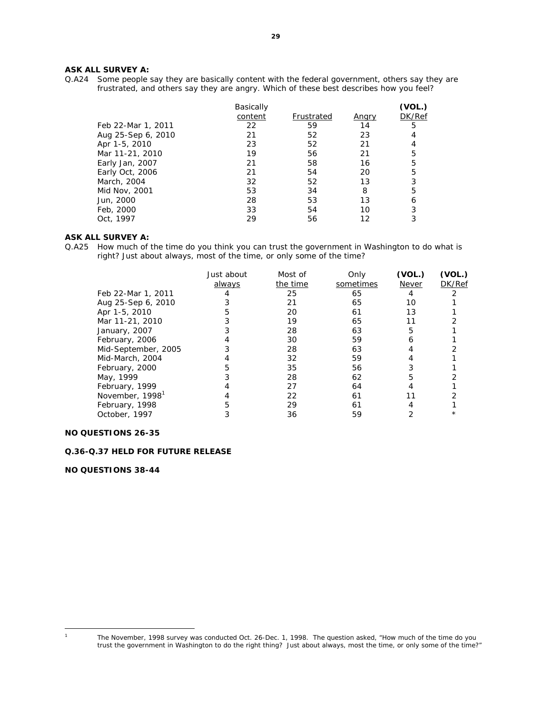#### **ASK ALL SURVEY A:**

Q.A24 Some people say they are basically content with the federal government, others say they are frustrated, and others say they are angry. Which of these best describes how you feel?

|                    | <b>Basically</b> |            |       | (VOL.) |
|--------------------|------------------|------------|-------|--------|
|                    | content          | Frustrated | Angry | DK/Ref |
| Feb 22-Mar 1, 2011 | 22               | 59         | 14    | 5      |
| Aug 25-Sep 6, 2010 | 21               | 52         | 23    |        |
| Apr 1-5, 2010      | 23               | 52         | 21    |        |
| Mar 11-21, 2010    | 19               | 56         | 21    | 5      |
| Early Jan, 2007    | 21               | 58         | 16    | 5      |
| Early Oct, 2006    | 21               | 54         | 20    | 5      |
| March, 2004        | 32               | 52         | 13    | 3      |
| Mid Nov, 2001      | 53               | 34         | 8     | 5      |
| Jun, 2000          | 28               | 53         | 13    | 6      |
| Feb, 2000          | 33               | 54         | 10    | 3      |
| Oct, 1997          | 29               | 56         | 12    |        |

#### **ASK ALL SURVEY A:**

Q.A25 How much of the time do you think you can trust the government in Washington to do what is right? Just about always, most of the time, or only some of the time?

|                             | Just about<br>always | Most of<br>the time | Only<br>sometimes | (VOL.)<br>Never | (VOL.)<br>DK/Ref |
|-----------------------------|----------------------|---------------------|-------------------|-----------------|------------------|
| Feb 22-Mar 1, 2011          |                      | 25                  | 65                |                 |                  |
| Aug 25-Sep 6, 2010          |                      | 21                  | 65                | 10              |                  |
| Apr 1-5, 2010               |                      | 20                  | 61                | 13              |                  |
| Mar 11-21, 2010             |                      | 19                  | 65                |                 |                  |
| January, 2007               |                      | 28                  | 63                | 5               |                  |
| February, 2006              |                      | 30                  | 59                | h               |                  |
| Mid-September, 2005         |                      | 28                  | 63                |                 |                  |
| Mid-March, 2004             |                      | 32                  | 59                |                 |                  |
| February, 2000              |                      | 35                  | 56                |                 |                  |
| May, 1999                   |                      | 28                  | 62                |                 |                  |
| February, 1999              |                      | 27                  | 64                |                 |                  |
| November, 1998 <sup>1</sup> |                      | 22                  | 61                |                 |                  |
| February, 1998              |                      | 29                  | 61                |                 |                  |
| October, 1997               |                      | 36                  | 59                |                 |                  |
|                             |                      |                     |                   |                 |                  |

#### **NO QUESTIONS 26-35**

#### **Q.36-Q.37 HELD FOR FUTURE RELEASE**

**NO QUESTIONS 38-44** 

 $\overline{a}$ 

**<sup>29</sup>**

<sup>1</sup> The November, 1998 survey was conducted Oct. 26-Dec. 1, 1998. The question asked, "How much of the time do you trust the government in Washington to do the right thing? Just about always, most the time, or only some of the time?"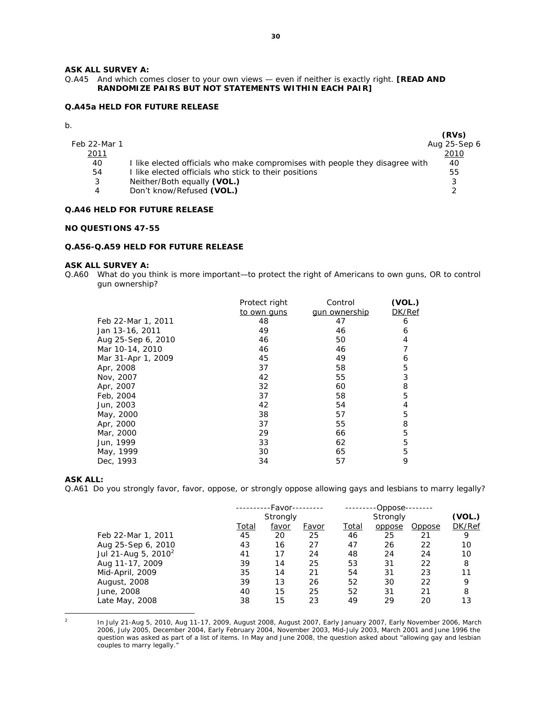#### **ASK ALL SURVEY A:**

#### Q.A45 And which comes closer to your own views — even if neither is exactly right. **[READ AND RANDOMIZE PAIRS BUT NOT STATEMENTS WITHIN EACH PAIR]**

#### **Q.A45a HELD FOR FUTURE RELEASE**

b.

|              |                                                                              | (RVs)         |
|--------------|------------------------------------------------------------------------------|---------------|
| Feb 22-Mar 1 |                                                                              | Aug 25-Sep 6  |
| 2011         |                                                                              | 2010          |
| 40           | I like elected officials who make compromises with people they disagree with | 40            |
| 54           | I like elected officials who stick to their positions                        | 55            |
| 3            | Neither/Both equally (VOL.)                                                  |               |
| 4            | Don't know/Refused (VOL.)                                                    | $\mathcal{D}$ |

#### **Q.A46 HELD FOR FUTURE RELEASE**

#### **NO QUESTIONS 47-55**

#### **Q.A56-Q.A59 HELD FOR FUTURE RELEASE**

#### **ASK ALL SURVEY A:**

Q.A60 What do you think is more important—to protect the right of Americans to own guns, OR to control gun ownership?

|                    | Protect right | Control              | (VOL.) |
|--------------------|---------------|----------------------|--------|
|                    | to own guns   | <u>aun ownership</u> | DK/Ref |
| Feb 22-Mar 1, 2011 | 48            | 47                   | 6      |
| Jan 13-16, 2011    | 49            | 46                   | 6      |
| Aug 25-Sep 6, 2010 | 46            | 50                   | 4      |
| Mar 10-14, 2010    | 46            | 46                   |        |
| Mar 31-Apr 1, 2009 | 45            | 49                   | 6      |
| Apr, 2008          | 37            | 58                   | 5      |
| Nov, 2007          | 42            | 55                   | 3      |
| Apr, 2007          | 32            | 60                   | 8      |
| Feb, 2004          | 37            | 58                   | 5      |
| Jun, 2003          | 42            | 54                   | 4      |
| May, 2000          | 38            | 57                   | 5      |
| Apr, 2000          | 37            | 55                   | 8      |
| Mar, 2000          | 29            | 66                   | 5      |
| Jun, 1999          | 33            | 62                   | 5      |
| May, 1999          | 30            | 65                   | 5      |
| Dec, 1993          | 34            | 57                   | 9      |

#### **ASK ALL:**

Q.A61 Do you strongly favor, favor, oppose, or strongly oppose allowing gays and lesbians to marry legally?

|                           | -Favor-- |           |              |              | -Oppose- |        |        |
|---------------------------|----------|-----------|--------------|--------------|----------|--------|--------|
|                           | Strongly |           |              |              | (VOL.)   |        |        |
|                           | Total    | favor     | <i>Favor</i> | <u>Total</u> | oppose   | Oppose | DK/Ref |
| Feb 22-Mar 1, 2011        | 45       | <i>20</i> | 25           | 46           | 25       | 21     | 9      |
| Aug 25-Sep 6, 2010        | 43       | 16        | 27           | 47           | 26       | 22     | 10     |
| Jul 21-Aug 5, 2010 $^{2}$ | 41       | 17        | 24           | 48           | 24       | 24     | 10     |
| Aug 11-17, 2009           | 39       | 14        | 25           | 53           | 31       | 22     | 8      |
| Mid-April, 2009           | 35       | 14        | 21           | 54           | 31       | 23     | 11     |
| August, 2008              | 39       | 13        | 26           | 52           | 30       | 22     | 9      |
| June, 2008                | 40       | 15        | 25           | 52           | 31       | 21     | 8      |
| Late May, 2008            | 38       | 15        | 23           | 49           | 29       | 20     | 13     |
|                           |          |           |              |              |          |        |        |

 $\overline{2}$ 

<sup>2</sup> In July 21-Aug 5, 2010, Aug 11-17, 2009, August 2008, August 2007, Early January 2007, Early November 2006, March 2006, July 2005, December 2004, Early February 2004, November 2003, Mid-July 2003, March 2001 and June 1996 the question was asked as part of a list of items. In May and June 2008, the question asked about "allowing gay and lesbian couples to marry legally."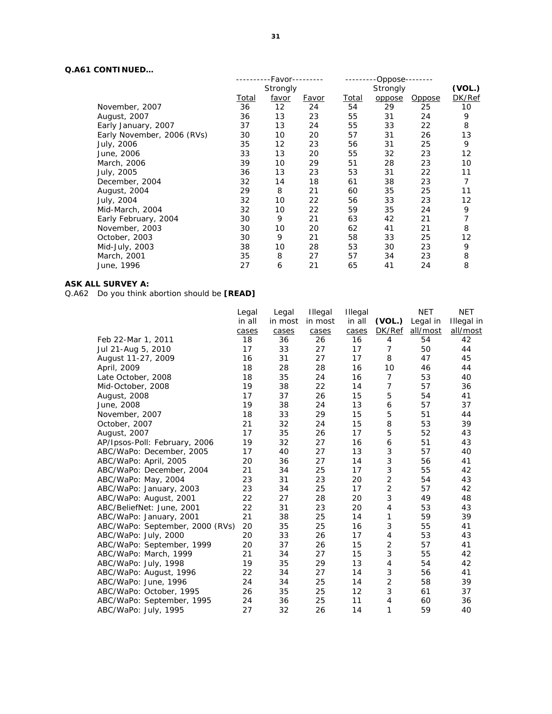### **Q.A61 CONTINUED…**

|                            |       | -Favor-  |           | Oppose- |                 |               |        |  |
|----------------------------|-------|----------|-----------|---------|-----------------|---------------|--------|--|
|                            |       | Strongly |           |         | <b>Strongly</b> |               | (VOL.) |  |
|                            | Total | favor    | Favor     | Total   | oppose          | <u>Oppose</u> | DK/Ref |  |
| November, 2007             | 36    | 12       | 24        | 54      | 29              | 25            | 10     |  |
| August, 2007               | 36    | 13       | 23        | 55      | 31              | 24            | 9      |  |
| Early January, 2007        | 37    | 13       | 24        | 55      | 33              | 22            | 8      |  |
| Early November, 2006 (RVs) | 30    | 10       | 20        | 57      | 31              | 26            | 13     |  |
| July, 2006                 | 35    | 12       | 23        | 56      | 31              | 25            | 9      |  |
| June, 2006                 | 33    | 13       | 20        | 55      | 32              | 23            | 12     |  |
| March, 2006                | 39    | 10       | 29        | 51      | 28              | 23            | 10     |  |
| July, 2005                 | 36    | 13       | 23        | 53      | 31              | 22            | 11     |  |
| December, 2004             | 32    | 14       | 18        | 61      | 38              | 23            | 7      |  |
| August, 2004               | 29    | 8        | 21        | 60      | 35              | 25            | 11     |  |
| July, 2004                 | 32    | 10       | 22        | 56      | 33              | 23            | 12     |  |
| Mid-March, 2004            | 32    | 10       | 22        | 59      | 35              | 24            | 9      |  |
| Early February, 2004       | 30    | 9        | 21        | 63      | 42              | 21            | 7      |  |
| November, 2003             | 30    | 10       | <i>20</i> | 62      | 41              | 21            | 8      |  |
| October, 2003              | 30    | 9        | 21        | 58      | 33              | 25            | 12     |  |
| Mid-July, 2003             | 38    | 10       | 28        | 53      | 30              | 23            | 9      |  |
| March, 2001                | 35    | 8        | 27        | 57      | 34              | 23            | 8      |  |
| June, 1996                 | 27    | 6        | 21        | 65      | 41              | 24            | 8      |  |
|                            |       |          |           |         |                 |               |        |  |

### **ASK ALL SURVEY A:**

Q.A62 Do you think abortion should be **[READ]**

|                                 | Legal  | Legal   | Illegal | Illegal |                | <b>NET</b>      | <b>NET</b>      |
|---------------------------------|--------|---------|---------|---------|----------------|-----------------|-----------------|
|                                 | in all | in most | in most | in all  | (VOL.)         | Legal in        | Illegal in      |
|                                 | cases  | cases   | cases   | cases   | DK/Ref         | <u>all/most</u> | <u>all/most</u> |
| Feb 22-Mar 1, 2011              | 18     | 36      | 26      | 16      | 4              | 54              | 42              |
| Jul 21-Aug 5, 2010              | 17     | 33      | 27      | 17      | $\overline{7}$ | 50              | 44              |
| August 11-27, 2009              | 16     | 31      | 27      | 17      | 8              | 47              | 45              |
| April, 2009                     | 18     | 28      | 28      | 16      | 10             | 46              | 44              |
| Late October, 2008              | 18     | 35      | 24      | 16      | $\overline{7}$ | 53              | 40              |
| Mid-October, 2008               | 19     | 38      | 22      | 14      | $\overline{7}$ | 57              | 36              |
| August, 2008                    | 17     | 37      | 26      | 15      | 5              | 54              | 41              |
| June, 2008                      | 19     | 38      | 24      | 13      | 6              | 57              | 37              |
| November, 2007                  | 18     | 33      | 29      | 15      | 5              | 51              | 44              |
| October, 2007                   | 21     | 32      | 24      | 15      | 8              | 53              | 39              |
| August, 2007                    | 17     | 35      | 26      | 17      | 5              | 52              | 43              |
| AP/Ipsos-Poll: February, 2006   | 19     | 32      | 27      | 16      | 6              | 51              | 43              |
| ABC/WaPo: December, 2005        | 17     | 40      | 27      | 13      | 3              | 57              | 40              |
| ABC/WaPo: April, 2005           | 20     | 36      | 27      | 14      | 3              | 56              | 41              |
| ABC/WaPo: December, 2004        | 21     | 34      | 25      | 17      | 3              | 55              | 42              |
| ABC/WaPo: May, 2004             | 23     | 31      | 23      | 20      | $\overline{2}$ | 54              | 43              |
| ABC/WaPo: January, 2003         | 23     | 34      | 25      | 17      | $\overline{2}$ | 57              | 42              |
| ABC/WaPo: August, 2001          | 22     | 27      | 28      | 20      | 3              | 49              | 48              |
| ABC/BeliefNet: June, 2001       | 22     | 31      | 23      | 20      | 4              | 53              | 43              |
| ABC/WaPo: January, 2001         | 21     | 38      | 25      | 14      | 1              | 59              | 39              |
| ABC/WaPo: September, 2000 (RVs) | 20     | 35      | 25      | 16      | 3              | 55              | 41              |
| ABC/WaPo: July, 2000            | 20     | 33      | 26      | 17      | 4              | 53              | 43              |
| ABC/WaPo: September, 1999       | 20     | 37      | 26      | 15      | 2              | 57              | 41              |
| ABC/WaPo: March, 1999           | 21     | 34      | 27      | 15      | 3              | 55              | 42              |
| ABC/WaPo: July, 1998            | 19     | 35      | 29      | 13      | 4              | 54              | 42              |
| ABC/WaPo: August, 1996          | 22     | 34      | 27      | 14      | 3              | 56              | 41              |
| ABC/WaPo: June, 1996            | 24     | 34      | 25      | 14      | $\overline{2}$ | 58              | 39              |
| ABC/WaPo: October, 1995         | 26     | 35      | 25      | 12      | 3              | 61              | 37              |
| ABC/WaPo: September, 1995       | 24     | 36      | 25      | 11      | 4              | 60              | 36              |
| ABC/WaPo: July, 1995            | 27     | 32      | 26      | 14      | 1              | 59              | 40              |
|                                 |        |         |         |         |                |                 |                 |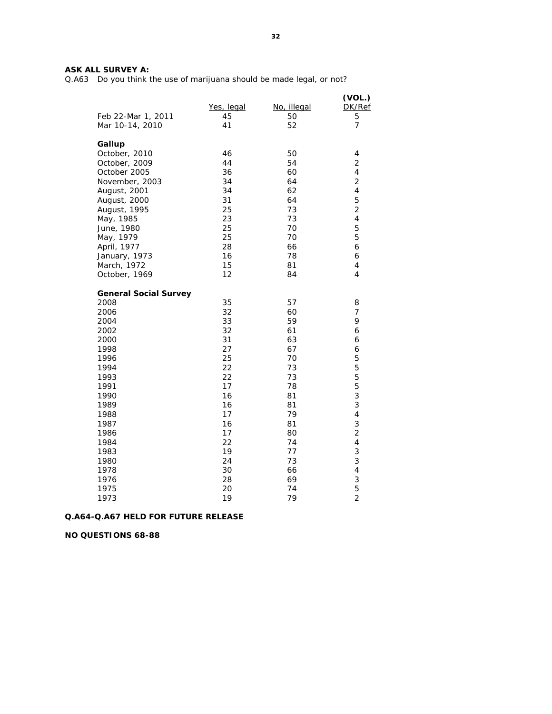Q.A63 Do you think the use of marijuana should be made legal, or not?

|                              | Yes, legal | No, illegal | (VOL.)<br>DK/Ref        |
|------------------------------|------------|-------------|-------------------------|
| Feb 22-Mar 1, 2011           | 45         | 50          | 5                       |
| Mar 10-14, 2010              | 41         | 52          | $\overline{7}$          |
| Gallup                       |            |             |                         |
| October, 2010                | 46         | 50          | 4                       |
| October, 2009                | 44         | 54          | $\overline{2}$          |
| October 2005                 | 36         | 60          | 4                       |
| November, 2003               | 34         | 64          | $\overline{2}$          |
| August, 2001                 | 34         | 62          | $\overline{\mathbf{4}}$ |
| August, 2000                 | 31         | 64          | 5                       |
| August, 1995                 | 25         | 73          | $\overline{c}$          |
| May, 1985                    | 23         | 73          | 4                       |
| June, 1980                   | 25         | 70          | 5                       |
| May, 1979                    | 25         | 70          | 5                       |
| April, 1977                  | 28         | 66          | 6                       |
| January, 1973                | 16         | 78          | 6                       |
| March, 1972                  | 15         | 81          | 4                       |
| October, 1969                | 12         | 84          | 4                       |
| <b>General Social Survey</b> |            |             |                         |
| 2008                         | 35         | 57          | 8                       |
| 2006                         | 32         | 60          | 7                       |
| 2004                         | 33         | 59          | 9                       |
| 2002                         | 32         | 61          | 6                       |
| 2000                         | 31         | 63          | 6                       |
| 1998                         | 27         | 67          | 6                       |
| 1996                         | 25         | 70          | 5                       |
| 1994                         | 22         | 73          | 5                       |
| 1993                         | 22         | 73          | 5                       |
| 1991                         | 17         | 78          | 5                       |
| 1990                         | 16         | 81          | 3                       |
| 1989                         | 16         | 81          | 3                       |
| 1988                         | 17         | 79          | $\overline{\mathbf{4}}$ |
| 1987                         | 16         | 81          | 3                       |
| 1986                         | 17         | 80          | $\overline{c}$          |
| 1984                         | 22         | 74          | 4                       |
| 1983                         | 19         | 77          | 3                       |
| 1980                         | 24         | 73          | 3                       |
| 1978                         | 30         | 66          | $\overline{\mathbf{4}}$ |
| 1976                         | 28         | 69          | 3                       |
| 1975                         | 20         | 74          | 5                       |
| 1973                         | 19         | 79          | $\overline{2}$          |

#### **Q.A64-Q.A67 HELD FOR FUTURE RELEASE**

**NO QUESTIONS 68-88**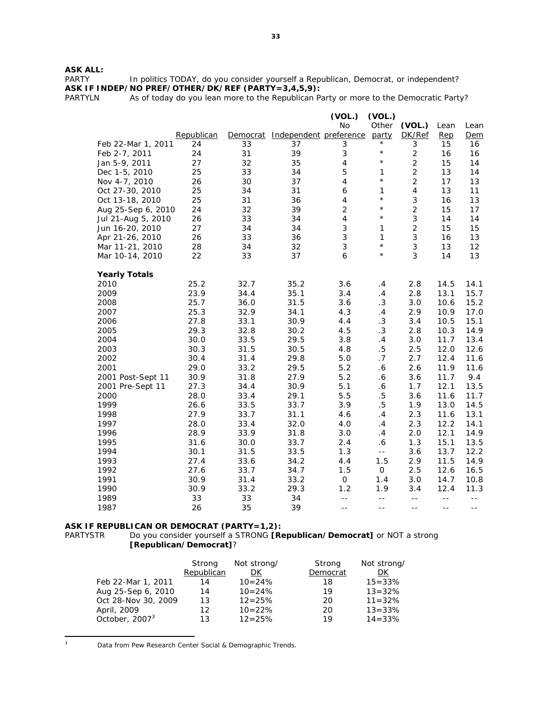# **ASK ALL:**

In politics TODAY, do you consider yourself a Republican, Democrat, or independent? **ASK IF INDEP/NO PREF/OTHER/DK/REF (PARTY=3,4,5,9):** 

PARTYLN As of today do you lean more to the Republican Party or more to the Democratic Party?

|                      |            |          |                        | (VOL.)                   | (VOL.)                |                         |       |       |
|----------------------|------------|----------|------------------------|--------------------------|-----------------------|-------------------------|-------|-------|
|                      |            |          |                        | No                       | Other                 | (VOL.)                  | Lean  | Lean  |
|                      | Republican | Democrat | Independent preference |                          | party                 | DK/Ref                  | Rep   | Dem   |
| Feb 22-Mar 1, 2011   | 24         | 33       | 37                     | 3                        | $^{\star}$            | 3                       | 15    | 16    |
| Feb 2-7, 2011        | 24         | 31       | 39                     | 3                        | $\star$               | $\overline{2}$          | 16    | 16    |
| Jan 5-9, 2011        | 27         | 32       | 35                     | 4                        | $\star$               | $\mathbf 2$             | 15    | 14    |
| Dec 1-5, 2010        | 25         | 33       | 34                     | 5                        | 1                     | $\overline{c}$          | 13    | 14    |
| Nov 4-7, 2010        | 26         | 30       | 37                     | $\overline{\mathcal{A}}$ | $\star$               | $\overline{c}$          | 17    | 13    |
| Oct 27-30, 2010      | 25         | 34       | 31                     | 6                        | 1                     | $\overline{\mathbf{4}}$ | 13    | 11    |
| Oct 13-18, 2010      | 25         | 31       | 36                     | 4                        | $\star$               | $\mathsf 3$             | 16    | 13    |
| Aug 25-Sep 6, 2010   | 24         | 32       | 39                     | $\overline{c}$           | $\star$               | $\overline{c}$          | 15    | 17    |
| Jul 21-Aug 5, 2010   | 26         | 33       | 34                     | $\overline{4}$           | $\star$               | $\mathfrak{S}$          | 14    | 14    |
| Jun 16-20, 2010      | 27         | 34       | 34                     | 3                        | $\mathbf{1}$          | $\overline{2}$          | 15    | 15    |
| Apr 21-26, 2010      | 26         | 33       | 36                     | 3                        | 1                     | 3                       | 16    | 13    |
| Mar 11-21, 2010      | 28         | 34       | 32                     | 3                        | $\star$               | 3                       | 13    | 12    |
| Mar 10-14, 2010      | 22         | 33       | 37                     | 6                        | $\star$               | 3                       | 14    | 13    |
| <b>Yearly Totals</b> |            |          |                        |                          |                       |                         |       |       |
| 2010                 | 25.2       | 32.7     | 35.2                   | 3.6                      | .4                    | 2.8                     | 14.5  | 14.1  |
| 2009                 | 23.9       | 34.4     | 35.1                   | 3.4                      | .4                    | 2.8                     | 13.1  | 15.7  |
| 2008                 | 25.7       | 36.0     | 31.5                   | 3.6                      | .3                    | 3.0                     | 10.6  | 15.2  |
| 2007                 | 25.3       | 32.9     | 34.1                   | 4.3                      | .4                    | 2.9                     | 10.9  | 17.0  |
| 2006                 | 27.8       | 33.1     | 30.9                   | 4.4                      | .3                    | 3.4                     | 10.5  | 15.1  |
| 2005                 | 29.3       | 32.8     | 30.2                   | 4.5                      | .3                    | 2.8                     | 10.3  | 14.9  |
| 2004                 | 30.0       | 33.5     | 29.5                   | 3.8                      | .4                    | 3.0                     | 11.7  | 13.4  |
| 2003                 | 30.3       | 31.5     | 30.5                   | 4.8                      | $.5\,$                | 2.5                     | 12.0  | 12.6  |
| 2002                 | 30.4       | 31.4     | 29.8                   | 5.0                      | .7                    | 2.7                     | 12.4  | 11.6  |
| 2001                 | 29.0       | 33.2     | 29.5                   | 5.2                      | .6                    | 2.6                     | 11.9  | 11.6  |
| 2001 Post-Sept 11    | 30.9       | 31.8     | 27.9                   | 5.2                      | $.6\,$                | 3.6                     | 11.7  | 9.4   |
| 2001 Pre-Sept 11     | 27.3       | 34.4     | 30.9                   | 5.1                      | $\boldsymbol{\delta}$ | 1.7                     | 12.1  | 13.5  |
| 2000                 | 28.0       | 33.4     | 29.1                   | 5.5                      | $.5\,$                | 3.6                     | 11.6  | 11.7  |
| 1999                 | 26.6       | 33.5     | 33.7                   | 3.9                      | $.5\,$                | 1.9                     | 13.0  | 14.5  |
| 1998                 | 27.9       | 33.7     | 31.1                   | 4.6                      | .4                    | 2.3                     | 11.6  | 13.1  |
| 1997                 | 28.0       | 33.4     | 32.0                   | 4.0                      | .4                    | 2.3                     | 12.2  | 14.1  |
| 1996                 | 28.9       | 33.9     | 31.8                   | 3.0                      | .4                    | 2.0                     | 12.1  | 14.9  |
| 1995                 | 31.6       | 30.0     | 33.7                   | 2.4                      | .6                    | 1.3                     | 15.1  | 13.5  |
| 1994                 | 30.1       | 31.5     | 33.5                   | 1.3                      | $\overline{a}$        | 3.6                     | 13.7  | 12.2  |
| 1993                 | 27.4       | 33.6     | 34.2                   | 4.4                      | 1.5                   | 2.9                     | 11.5  | 14.9  |
| 1992                 | 27.6       | 33.7     | 34.7                   | 1.5                      | $\mathsf{O}\xspace$   | 2.5                     | 12.6  | 16.5  |
| 1991                 | 30.9       | 31.4     | 33.2                   | $\mathsf O$              | 1.4                   | 3.0                     | 14.7  | 10.8  |
| 1990                 | 30.9       | 33.2     | 29.3                   | 1.2                      | 1.9                   | 3.4                     | 12.4  | 11.3  |
| 1989                 | 33         | 33       | 34                     | $\sim$ $-$               | $- -$                 | $- -$                   | $- -$ | $- -$ |
| 1987                 | 26         | 35       | 39                     | $- -$                    | --                    | $- -$                   | $- -$ | $- -$ |

# **ASK IF REPUBLICAN OR DEMOCRAT (PARTY=1,2):**<br>PARTYSTR Do you consider yourself a STRONG [Re

Do you consider yourself a STRONG **[Republican/Democrat]** or NOT a strong **[Republican/Democrat]**?

|                            | Strong<br>Republican | Not strong/<br>DK | Strong<br>Democrat | Not strong/<br>DK |
|----------------------------|----------------------|-------------------|--------------------|-------------------|
| Feb 22-Mar 1, 2011         | 14                   | $10 = 24\%$       | 18                 | $15 = 33%$        |
| Aug 25-Sep 6, 2010         | 14                   | $10 = 24%$        | 19                 | $13 = 32%$        |
| Oct 28-Nov 30, 2009        | 13                   | $12 = 25%$        | 20                 | $11 = 32%$        |
| April, 2009                | 12                   | $10 = 22%$        | 20                 | $13 = 33%$        |
| October, 2007 <sup>3</sup> | 13                   | $12 = 25%$        | 19                 | $14 = 33%$        |

 $\overline{3}$ 

Data from Pew Research Center Social & Demographic Trends.